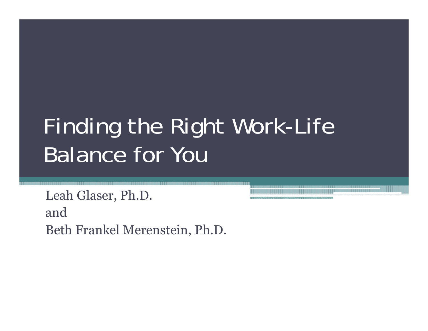## Finding the Right Work-Life Balance for You

Leah Glaser, Ph.D. andBeth Frankel Merenstein, Ph.D.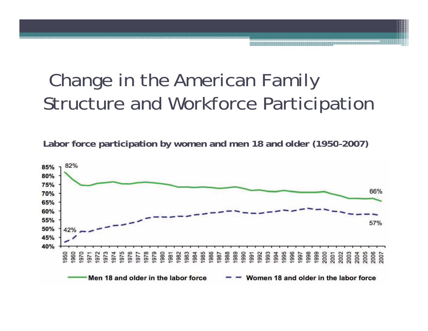#### Change in the American Family Structure and Workforce Participation

**Labor force participation by women and men 18 and older (1950 –2007)**

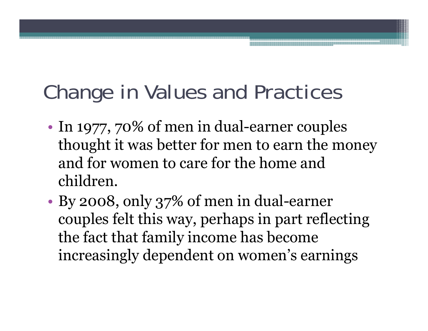#### Change in Values and Practices

- •• In 1977, 70% of men in dual-earner couples thought it was better for men to earn the money and for women to care for the home and children.
- • By 2008, only 37% of men in dual-earner couples felt this way, perhaps in part reflecting the fact that family income has become increasingly dependent on women's earnings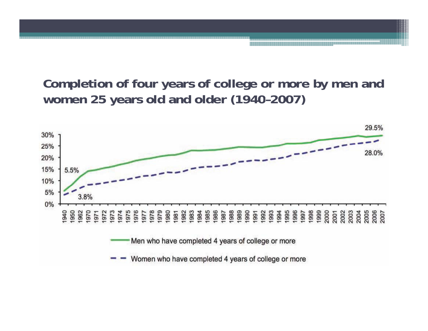#### **Completion of four years of college or more by men and women 25 years old and older (1940 –2007)**

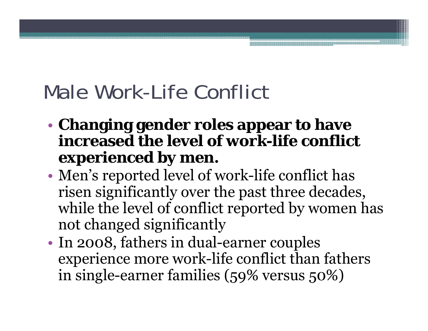#### Male Work-Life Conflict

- • **Changing gender roles appear to have increased the level of work-life conflict experienced by men.**
- • Men's reported level of work-life conflict has risen significantly over the past three decades, while the level of conflict reported by women has not changed significantly
- •• In 2008, fathers in dual-earner couples experience more work-life conflict than fathers in single-earner families (59% versus 50%)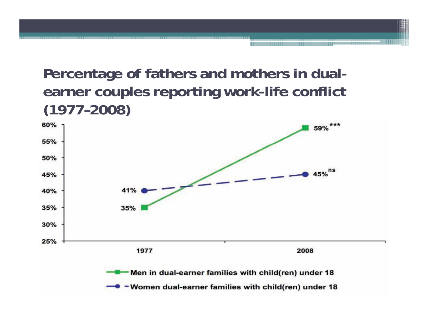#### **Percentage of fathers and mothers in dualearner couples reporting work-life conflict (1977–2008)**

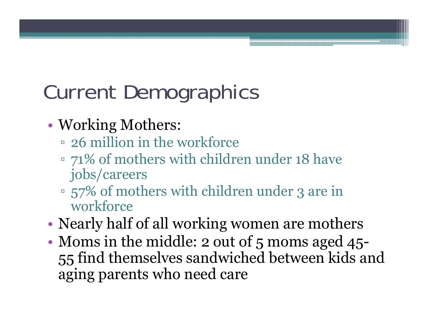## Current Demographics

- • Working Mothers:
	- 26 million in the workforce
	- 71% of mothers with children under 18 have jobs/careers
	- $\sim$  57% of mothers with children under 3 are in workforce
- •Nearly half of all working women are mothers
- • Moms in the middle: 2 out of 5 moms aged 45- 55 find themselves sandwiched between kids and aging parents who need care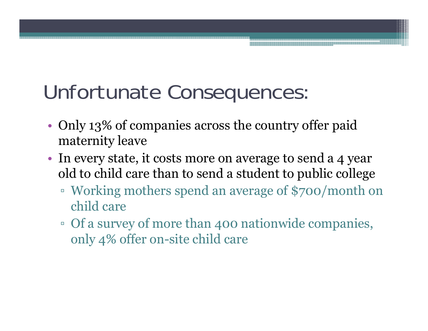#### Unfortunate Consequences

- •• Only 13% of companies across the country offer paid maternity leave
- • In every state, it costs more on average to send a 4 year old to child care than to send a student to public college
	- $\, \circ \,$  Working mothers spend an average of \$700/month on child care
	- Of a survey of more than 400 nationwide companies, only 4% offer on-site child care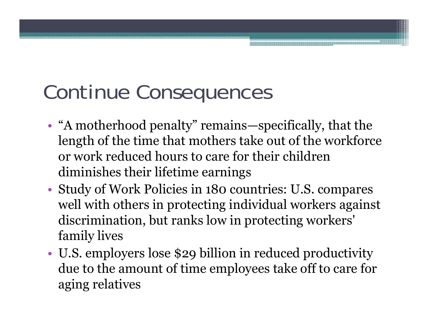#### Continue Conse quences

- • "A motherhood penalty" remains—specifically, that the length of the time that mothers take out of the workforce or work reduced hours to care for their children diminishes their lifetime earnings
- Study of Work Policies in 180 countries: U.S. compares well with others in protecting individual workers against discrimination, but ranks low in protecting workers' family lives
- • U.S. employers lose \$29 billion in reduced productivity due to the amount of time employees take off to care for aging relatives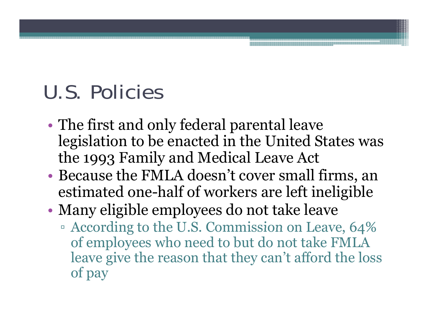#### U.S. Policies

- • The first and only federal parental leave legislation to be enacted in the United States was the 1993 Family and Medical Leave Act
- • Because the FMLA doesn't cover small firms, an estimated one-half of workers are left ineligible
- • Many eligible employees do not take leave
	- $\blacksquare$  According to the U.S. Commission on Leave, 64% of employees who need to but do not take FMLA leave give the reason that they can't afford the loss of pay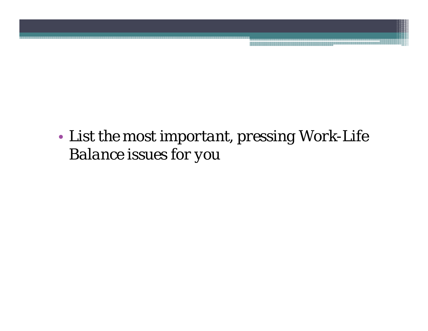• List the most important, pressing Work-Life *Balance issues for you*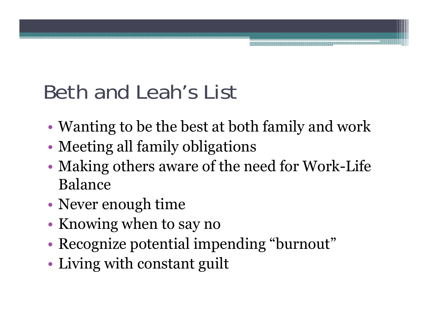#### Beth and Leah's List

- •Wanting to be the best at both family and work
- •Meeting all family obligations
- • Making others aware of the need for Work-Life Balance
- •Never enough time
- •• Knowing when to say no
- •Recognize potential impending "burnout"
- Living with constant guilt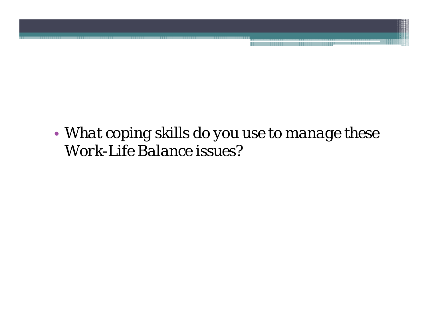• *What coping skills do you use to manage these Work-Life Balance issues?*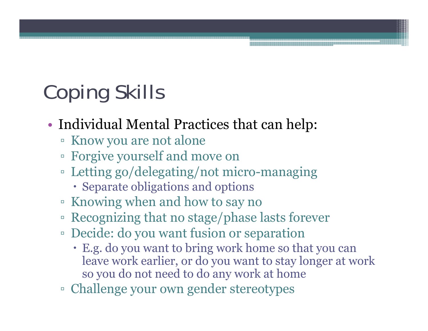# **Coping Skills**

- • Individual Mental Practices that can help:
	- Know you are not alone
	- Forgive yourself and move on
	- Letting go/delegating/not micro-managing
		- Separate obligations and options
	- Knowing when and how to say no
	- Recognizing that no stage/phase lasts forever
	- □ Decide: do you want fusion or separation
		- E.g. do you want to bring work home so that you can leave work earlier, or do you want to stay longer at work so you do not need to do any work at home
	- Challenge your own gender stereotypes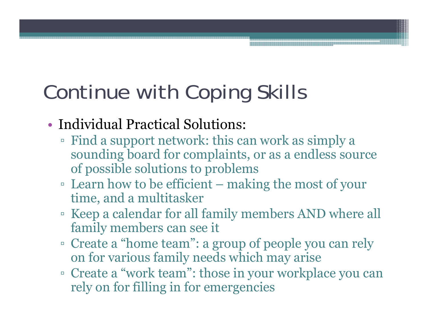## Continue with Coping Skills

- Individual Practical Solutions:
	- Find a support network: this can work as simply a sounding board for complaints, or as a endless source of possible solutions to problems
	- □ Learn how to be efficient making the most of your time, and a multitasker
	- Keep a calendar for all family members AND where all family members can see it
	- Create a "home team": a group of people you can rely on for various family needs which may arise
	- $\;\;\;\;$  Create a "work team": those in your workplace you can rely on for filling in for emergencies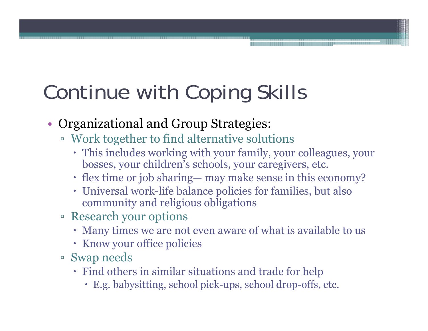## Continue with Coping Skills

- • Organizational and Group Strategies:
	- Work to gether to find alternative solutions
		- This includes working with your family, your colleagues, your bosses, your children's schools, your caregivers, etc.
		- flex time or job sharing— may make sense in this economy?
		- Universal wor k-life balance policies for families, but also community and religious obligations
	- Research your options
		- Many times we are not even aware of what is available to us
		- Know your office policies
	- Swap needs
		- $\cdot$  Find others in similar situations and trade for help
			- E.g. babysitting, school pick-ups, school drop-offs, etc.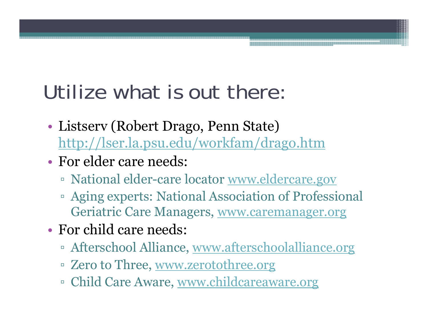#### Utilize what is out there:

- • Listserv (Robert Drago, Penn State) http://lser.la.psu.edu/workfam/drago.htm
- For elder care needs:
	- □ National elder-care locator <u>www.eldercare.gov</u>
	- Aging experts: National Association of Professional Geriatric Care Managers, www.caremanager.org
- For child care needs:
	- □ Afterschool Alliance, <u>www.afterschoolalliance.org</u>
	- □ Zero to Three, <u>www.zerotothree.or</u>g
	- □ Child Care Aware, <u>www.childcareaware.or</u>g